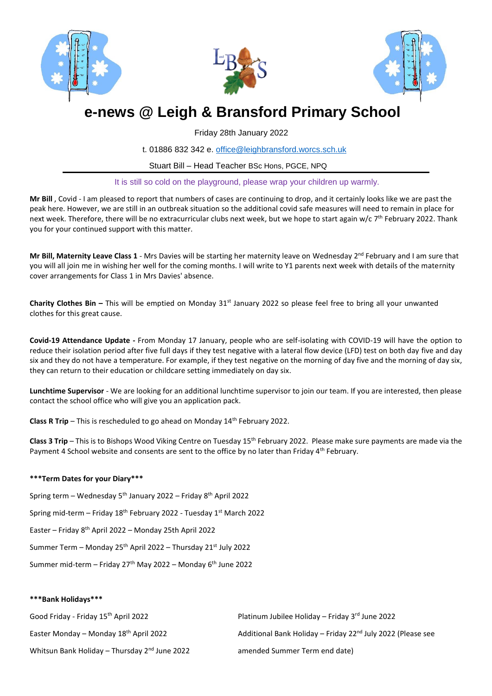





# **e-news @ Leigh & Bransford Primary School**

Friday 28th January 2022

t. 01886 832 342 e. [office@leighbransford.worcs.sch.uk](mailto:office@leighbransford.worcs.sch.uk)

Stuart Bill – Head Teacher BSc Hons, PGCE, NPQ

It is still so cold on the playground, please wrap your children up warmly.

**Mr Bill** , Covid - I am pleased to report that numbers of cases are continuing to drop, and it certainly looks like we are past the peak here. However, we are still in an outbreak situation so the additional covid safe measures will need to remain in place for next week. Therefore, there will be no extracurricular clubs next week, but we hope to start again w/c 7<sup>th</sup> February 2022. Thank you for your continued support with this matter.

**Mr Bill, Maternity Leave Class 1** - Mrs Davies will be starting her maternity leave on Wednesday 2<sup>nd</sup> February and I am sure that you will all join me in wishing her well for the coming months. I will write to Y1 parents next week with details of the maternity cover arrangements for Class 1 in Mrs Davies' absence.

**Charity Clothes Bin – This will be emptied on Monday 31<sup>st</sup> January 2022 so please feel free to bring all your unwanted** clothes for this great cause.

**Covid-19 Attendance Update -** From Monday 17 January, people who are self-isolating with COVID-19 will have the option to reduce their isolation period after five full days if they test negative with a lateral flow device (LFD) test on both day five and day six and they do not have a temperature. For example, if they test negative on the morning of day five and the morning of day six, they can return to their education or childcare setting immediately on day six.

**Lunchtime Supervisor** - We are looking for an additional lunchtime supervisor to join our team. If you are interested, then please contact the school office who will give you an application pack.

**Class R Trip** – This is rescheduled to go ahead on Monday 14<sup>th</sup> February 2022.

**Class 3 Trip** – This is to Bishops Wood Viking Centre on Tuesday 15th February 2022. Please make sure payments are made via the Payment 4 School website and consents are sent to the office by no later than Friday 4<sup>th</sup> February.

## **\*\*\*Term Dates for your Diary\*\*\***

- Spring term Wednesday 5th January 2022 Friday 8th April 2022
- Spring mid-term Friday 18<sup>th</sup> February 2022 Tuesday 1<sup>st</sup> March 2022
- Easter Friday 8<sup>th</sup> April 2022 Monday 25th April 2022
- Summer Term Monday  $25<sup>th</sup>$  April 2022 Thursday  $21<sup>st</sup>$  July 2022
- Summer mid-term Friday 27<sup>th</sup> May 2022 Monday  $6<sup>th</sup>$  June 2022

## **\*\*\*Bank Holidays\*\*\***

| Good Friday - Friday 15 <sup>th</sup> April 2022          | Platinum Jubilee Holiday – Friday $3rd$ June 2022                       |
|-----------------------------------------------------------|-------------------------------------------------------------------------|
| Easter Monday – Monday 18 <sup>th</sup> April 2022        | Additional Bank Holiday - Friday 22 <sup>nd</sup> July 2022 (Please see |
| Whitsun Bank Holiday - Thursday 2 <sup>nd</sup> June 2022 | amended Summer Term end date)                                           |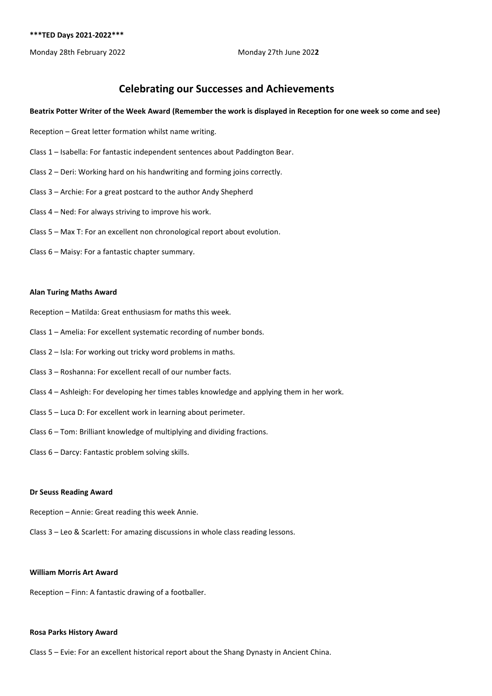# **Celebrating our Successes and Achievements**

#### **Beatrix Potter Writer of the Week Award (Remember the work is displayed in Reception for one week so come and see)**

- Reception Great letter formation whilst name writing.
- Class 1 Isabella: For fantastic independent sentences about Paddington Bear.
- Class 2 Deri: Working hard on his handwriting and forming joins correctly.
- Class 3 Archie: For a great postcard to the author Andy Shepherd
- Class 4 Ned: For always striving to improve his work.
- Class 5 Max T: For an excellent non chronological report about evolution.
- Class 6 Maisy: For a fantastic chapter summary.

#### **Alan Turing Maths Award**

- Reception Matilda: Great enthusiasm for maths this week.
- Class 1 Amelia: For excellent systematic recording of number bonds.
- Class 2 Isla: For working out tricky word problems in maths.
- Class 3 Roshanna: For excellent recall of our number facts.
- Class 4 Ashleigh: For developing her times tables knowledge and applying them in her work.
- Class 5 Luca D: For excellent work in learning about perimeter.
- Class 6 Tom: Brilliant knowledge of multiplying and dividing fractions.
- Class 6 Darcy: Fantastic problem solving skills.

#### **Dr Seuss Reading Award**

- Reception Annie: Great reading this week Annie.
- Class 3 Leo & Scarlett: For amazing discussions in whole class reading lessons.

#### **William Morris Art Award**

Reception – Finn: A fantastic drawing of a footballer.

#### **Rosa Parks History Award**

Class 5 – Evie: For an excellent historical report about the Shang Dynasty in Ancient China.